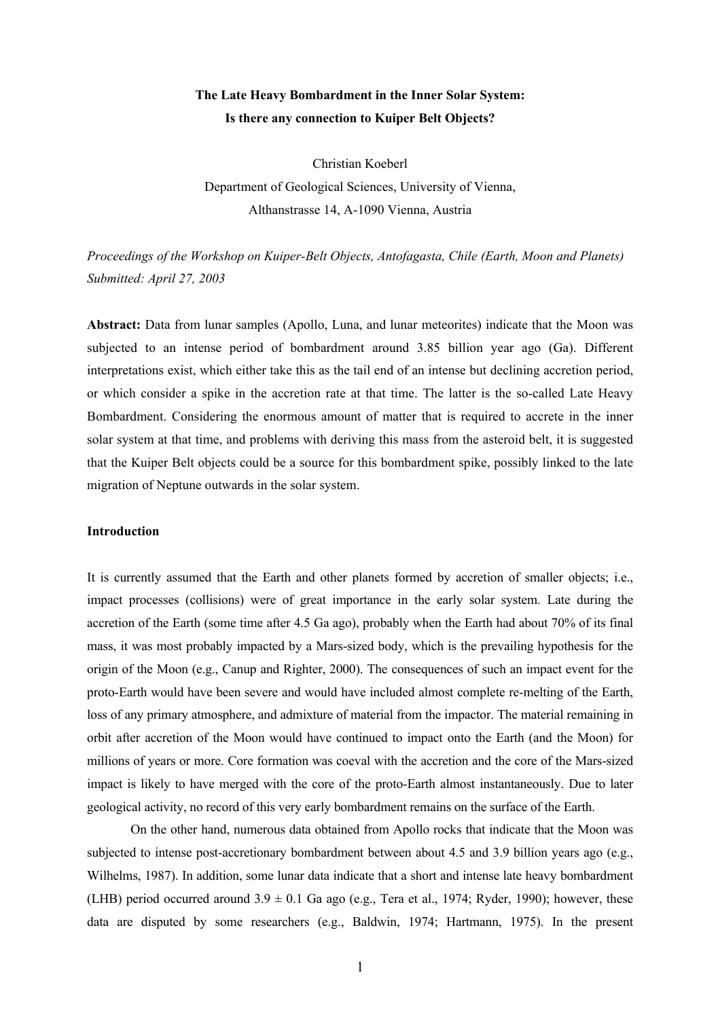# **The Late Heavy Bombardment in the Inner Solar System: Is there any connection to Kuiper Belt Objects?**

Christian Koeberl Department of Geological Sciences, University of Vienna, Althanstrasse 14, A-1090 Vienna, Austria

*Proceedings of the Workshop on Kuiper-Belt Objects, Antofagasta, Chile (Earth, Moon and Planets) Submitted: April 27, 2003*

**Abstract:** Data from lunar samples (Apollo, Luna, and lunar meteorites) indicate that the Moon was subjected to an intense period of bombardment around 3.85 billion year ago (Ga). Different interpretations exist, which either take this as the tail end of an intense but declining accretion period, or which consider a spike in the accretion rate at that time. The latter is the so-called Late Heavy Bombardment. Considering the enormous amount of matter that is required to accrete in the inner solar system at that time, and problems with deriving this mass from the asteroid belt, it is suggested that the Kuiper Belt objects could be a source for this bombardment spike, possibly linked to the late migration of Neptune outwards in the solar system.

# **Introduction**

It is currently assumed that the Earth and other planets formed by accretion of smaller objects; i.e., impact processes (collisions) were of great importance in the early solar system. Late during the accretion of the Earth (some time after 4.5 Ga ago), probably when the Earth had about 70% of its final mass, it was most probably impacted by a Mars-sized body, which is the prevailing hypothesis for the origin of the Moon (e.g., Canup and Righter, 2000). The consequences of such an impact event for the proto-Earth would have been severe and would have included almost complete re-melting of the Earth, loss of any primary atmosphere, and admixture of material from the impactor. The material remaining in orbit after accretion of the Moon would have continued to impact onto the Earth (and the Moon) for millions of years or more. Core formation was coeval with the accretion and the core of the Mars-sized impact is likely to have merged with the core of the proto-Earth almost instantaneously. Due to later geological activity, no record of this very early bombardment remains on the surface of the Earth.

On the other hand, numerous data obtained from Apollo rocks that indicate that the Moon was subjected to intense post-accretionary bombardment between about 4.5 and 3.9 billion years ago (e.g., Wilhelms, 1987). In addition, some lunar data indicate that a short and intense late heavy bombardment (LHB) period occurred around  $3.9 \pm 0.1$  Ga ago (e.g., Tera et al., 1974; Ryder, 1990); however, these data are disputed by some researchers (e.g., Baldwin, 1974; Hartmann, 1975). In the present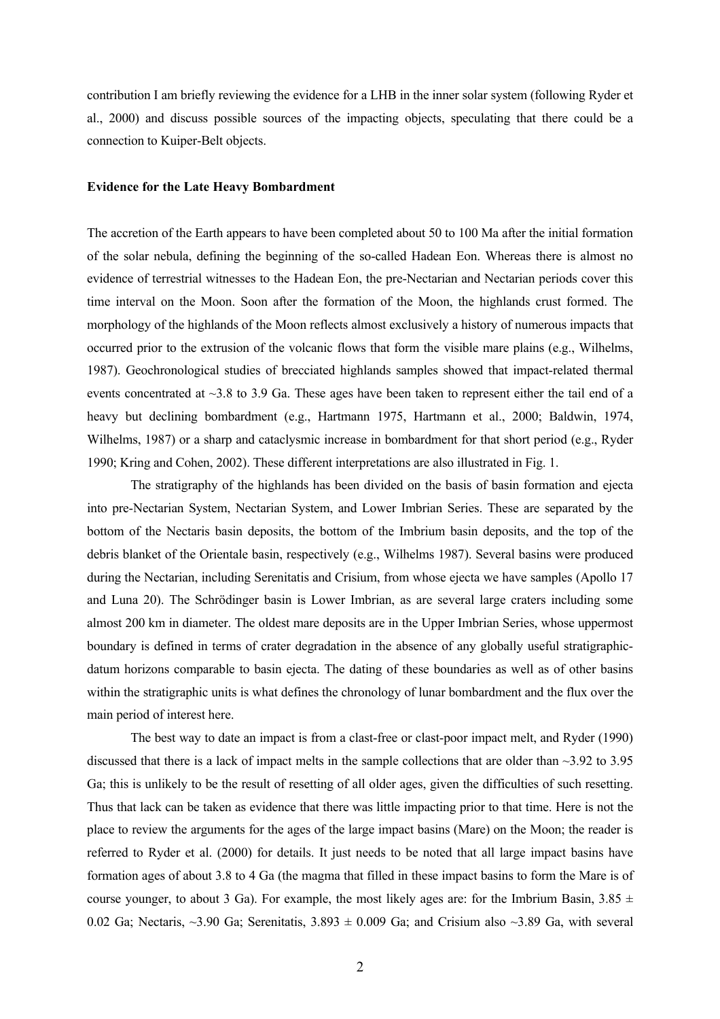contribution I am briefly reviewing the evidence for a LHB in the inner solar system (following Ryder et al., 2000) and discuss possible sources of the impacting objects, speculating that there could be a connection to Kuiper-Belt objects.

## **Evidence for the Late Heavy Bombardment**

The accretion of the Earth appears to have been completed about 50 to 100 Ma after the initial formation of the solar nebula, defining the beginning of the so-called Hadean Eon. Whereas there is almost no evidence of terrestrial witnesses to the Hadean Eon, the pre-Nectarian and Nectarian periods cover this time interval on the Moon. Soon after the formation of the Moon, the highlands crust formed. The morphology of the highlands of the Moon reflects almost exclusively a history of numerous impacts that occurred prior to the extrusion of the volcanic flows that form the visible mare plains (e.g., Wilhelms, 1987). Geochronological studies of brecciated highlands samples showed that impact-related thermal events concentrated at ~3.8 to 3.9 Ga. These ages have been taken to represent either the tail end of a heavy but declining bombardment (e.g., Hartmann 1975, Hartmann et al., 2000; Baldwin, 1974, Wilhelms, 1987) or a sharp and cataclysmic increase in bombardment for that short period (e.g., Ryder 1990; Kring and Cohen, 2002). These different interpretations are also illustrated in Fig. 1.

The stratigraphy of the highlands has been divided on the basis of basin formation and ejecta into pre-Nectarian System, Nectarian System, and Lower Imbrian Series. These are separated by the bottom of the Nectaris basin deposits, the bottom of the Imbrium basin deposits, and the top of the debris blanket of the Orientale basin, respectively (e.g., Wilhelms 1987). Several basins were produced during the Nectarian, including Serenitatis and Crisium, from whose ejecta we have samples (Apollo 17 and Luna 20). The Schrödinger basin is Lower Imbrian, as are several large craters including some almost 200 km in diameter. The oldest mare deposits are in the Upper Imbrian Series, whose uppermost boundary is defined in terms of crater degradation in the absence of any globally useful stratigraphicdatum horizons comparable to basin ejecta. The dating of these boundaries as well as of other basins within the stratigraphic units is what defines the chronology of lunar bombardment and the flux over the main period of interest here.

The best way to date an impact is from a clast-free or clast-poor impact melt, and Ryder (1990) discussed that there is a lack of impact melts in the sample collections that are older than  $\sim$ 3.92 to 3.95 Ga; this is unlikely to be the result of resetting of all older ages, given the difficulties of such resetting. Thus that lack can be taken as evidence that there was little impacting prior to that time. Here is not the place to review the arguments for the ages of the large impact basins (Mare) on the Moon; the reader is referred to Ryder et al. (2000) for details. It just needs to be noted that all large impact basins have formation ages of about 3.8 to 4 Ga (the magma that filled in these impact basins to form the Mare is of course younger, to about 3 Ga). For example, the most likely ages are: for the Imbrium Basin,  $3.85 \pm$ 0.02 Ga; Nectaris,  $\sim$ 3.90 Ga; Serenitatis, 3.893  $\pm$  0.009 Ga; and Crisium also  $\sim$ 3.89 Ga, with several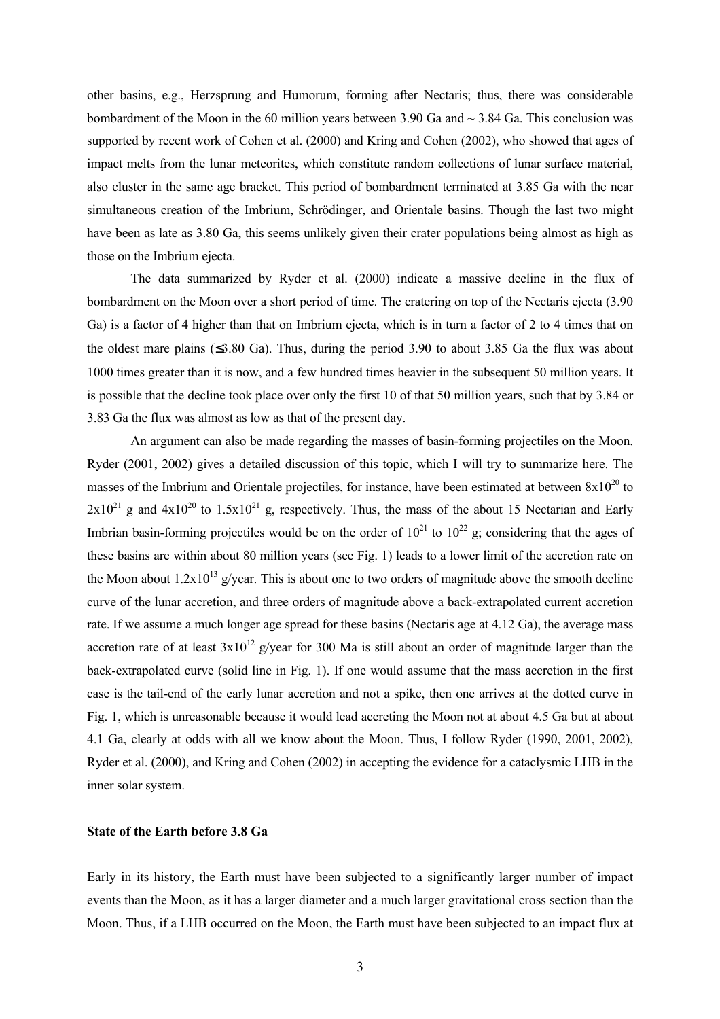other basins, e.g., Herzsprung and Humorum, forming after Nectaris; thus, there was considerable bombardment of the Moon in the 60 million years between 3.90 Ga and  $\sim$  3.84 Ga. This conclusion was supported by recent work of Cohen et al. (2000) and Kring and Cohen (2002), who showed that ages of impact melts from the lunar meteorites, which constitute random collections of lunar surface material, also cluster in the same age bracket. This period of bombardment terminated at 3.85 Ga with the near simultaneous creation of the Imbrium, Schrödinger, and Orientale basins. Though the last two might have been as late as 3.80 Ga, this seems unlikely given their crater populations being almost as high as those on the Imbrium ejecta.

The data summarized by Ryder et al. (2000) indicate a massive decline in the flux of bombardment on the Moon over a short period of time. The cratering on top of the Nectaris ejecta (3.90 Ga) is a factor of 4 higher than that on Imbrium ejecta, which is in turn a factor of 2 to 4 times that on the oldest mare plains ( $\leq 3.80$  Ga). Thus, during the period 3.90 to about 3.85 Ga the flux was about 1000 times greater than it is now, and a few hundred times heavier in the subsequent 50 million years. It is possible that the decline took place over only the first 10 of that 50 million years, such that by 3.84 or 3.83 Ga the flux was almost as low as that of the present day.

An argument can also be made regarding the masses of basin-forming projectiles on the Moon. Ryder (2001, 2002) gives a detailed discussion of this topic, which I will try to summarize here. The masses of the Imbrium and Orientale projectiles, for instance, have been estimated at between  $8x10^{20}$  to  $2x10^{21}$  g and  $4x10^{20}$  to  $1.5x10^{21}$  g, respectively. Thus, the mass of the about 15 Nectarian and Early Imbrian basin-forming projectiles would be on the order of  $10^{21}$  to  $10^{22}$  g; considering that the ages of these basins are within about 80 million years (see Fig. 1) leads to a lower limit of the accretion rate on the Moon about  $1.2x10^{13}$  g/year. This is about one to two orders of magnitude above the smooth decline curve of the lunar accretion, and three orders of magnitude above a back-extrapolated current accretion rate. If we assume a much longer age spread for these basins (Nectaris age at 4.12 Ga), the average mass accretion rate of at least  $3x10^{12}$  g/year for 300 Ma is still about an order of magnitude larger than the back-extrapolated curve (solid line in Fig. 1). If one would assume that the mass accretion in the first case is the tail-end of the early lunar accretion and not a spike, then one arrives at the dotted curve in Fig. 1, which is unreasonable because it would lead accreting the Moon not at about 4.5 Ga but at about 4.1 Ga, clearly at odds with all we know about the Moon. Thus, I follow Ryder (1990, 2001, 2002), Ryder et al. (2000), and Kring and Cohen (2002) in accepting the evidence for a cataclysmic LHB in the inner solar system.

# **State of the Earth before 3.8 Ga**

Early in its history, the Earth must have been subjected to a significantly larger number of impact events than the Moon, as it has a larger diameter and a much larger gravitational cross section than the Moon. Thus, if a LHB occurred on the Moon, the Earth must have been subjected to an impact flux at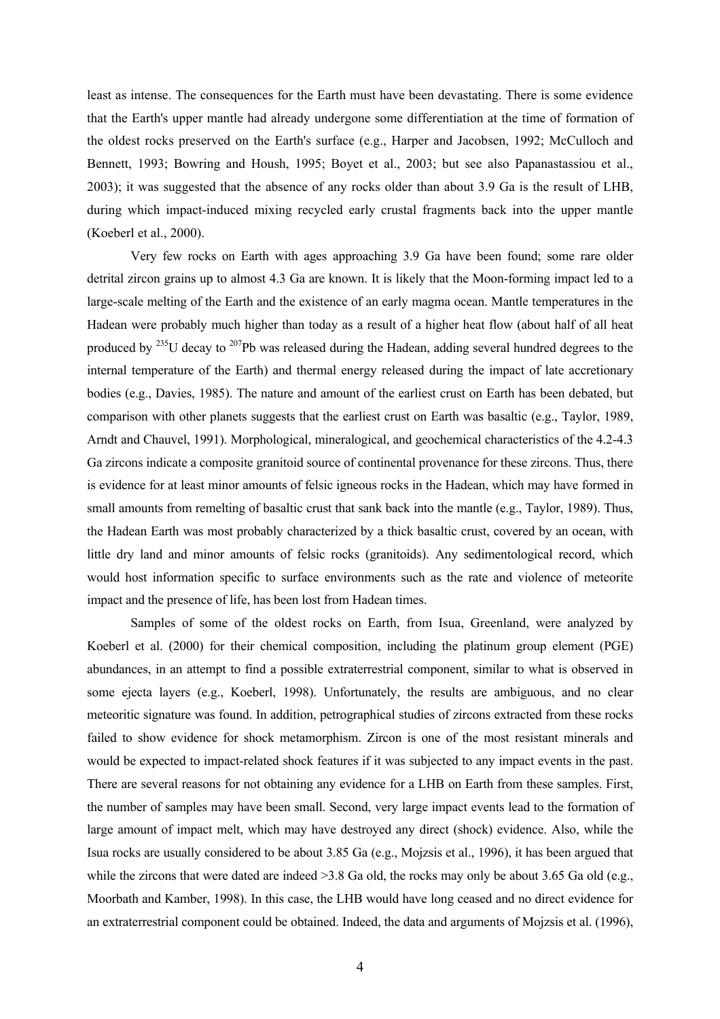least as intense. The consequences for the Earth must have been devastating. There is some evidence that the Earth's upper mantle had already undergone some differentiation at the time of formation of the oldest rocks preserved on the Earth's surface (e.g., Harper and Jacobsen, 1992; McCulloch and Bennett, 1993; Bowring and Housh, 1995; Boyet et al., 2003; but see also Papanastassiou et al., 2003); it was suggested that the absence of any rocks older than about 3.9 Ga is the result of LHB, during which impact-induced mixing recycled early crustal fragments back into the upper mantle (Koeberl et al., 2000).

Very few rocks on Earth with ages approaching 3.9 Ga have been found; some rare older detrital zircon grains up to almost 4.3 Ga are known. It is likely that the Moon-forming impact led to a large-scale melting of the Earth and the existence of an early magma ocean. Mantle temperatures in the Hadean were probably much higher than today as a result of a higher heat flow (about half of all heat produced by  $^{235}$ U decay to  $^{207}$ Pb was released during the Hadean, adding several hundred degrees to the internal temperature of the Earth) and thermal energy released during the impact of late accretionary bodies (e.g., Davies, 1985). The nature and amount of the earliest crust on Earth has been debated, but comparison with other planets suggests that the earliest crust on Earth was basaltic (e.g., Taylor, 1989, Arndt and Chauvel, 1991). Morphological, mineralogical, and geochemical characteristics of the 4.2-4.3 Ga zircons indicate a composite granitoid source of continental provenance for these zircons. Thus, there is evidence for at least minor amounts of felsic igneous rocks in the Hadean, which may have formed in small amounts from remelting of basaltic crust that sank back into the mantle (e.g., Taylor, 1989). Thus, the Hadean Earth was most probably characterized by a thick basaltic crust, covered by an ocean, with little dry land and minor amounts of felsic rocks (granitoids). Any sedimentological record, which would host information specific to surface environments such as the rate and violence of meteorite impact and the presence of life, has been lost from Hadean times.

Samples of some of the oldest rocks on Earth, from Isua, Greenland, were analyzed by Koeberl et al. (2000) for their chemical composition, including the platinum group element (PGE) abundances, in an attempt to find a possible extraterrestrial component, similar to what is observed in some ejecta layers (e.g., Koeberl, 1998). Unfortunately, the results are ambiguous, and no clear meteoritic signature was found. In addition, petrographical studies of zircons extracted from these rocks failed to show evidence for shock metamorphism. Zircon is one of the most resistant minerals and would be expected to impact-related shock features if it was subjected to any impact events in the past. There are several reasons for not obtaining any evidence for a LHB on Earth from these samples. First, the number of samples may have been small. Second, very large impact events lead to the formation of large amount of impact melt, which may have destroyed any direct (shock) evidence. Also, while the Isua rocks are usually considered to be about 3.85 Ga (e.g., Mojzsis et al., 1996), it has been argued that while the zircons that were dated are indeed >3.8 Ga old, the rocks may only be about 3.65 Ga old (e.g., Moorbath and Kamber, 1998). In this case, the LHB would have long ceased and no direct evidence for an extraterrestrial component could be obtained. Indeed, the data and arguments of Mojzsis et al. (1996),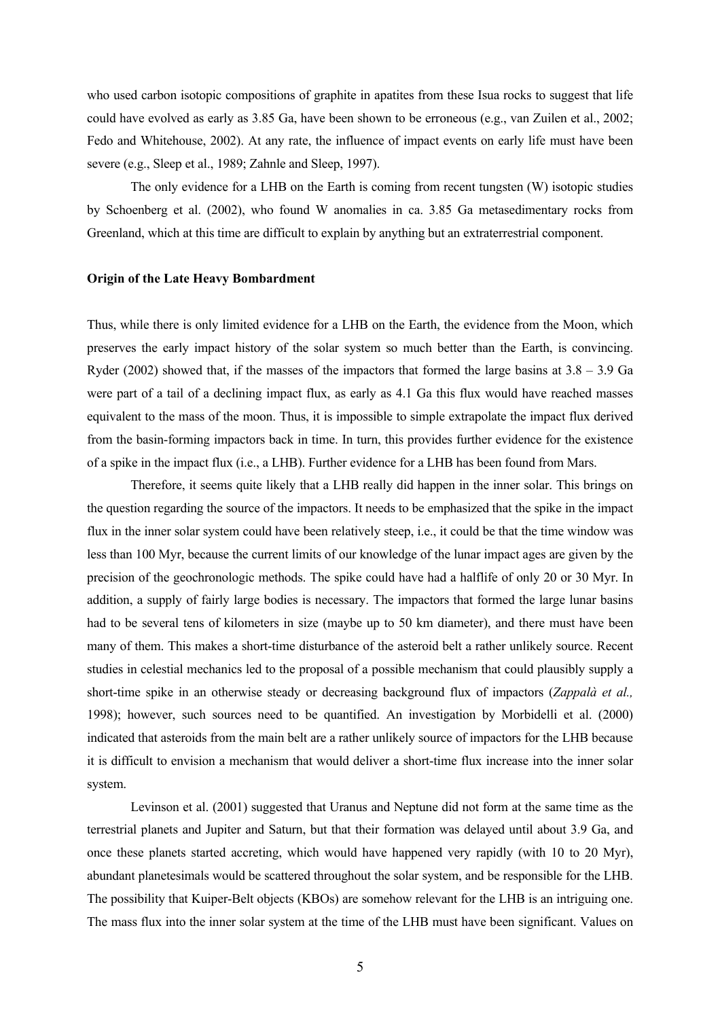who used carbon isotopic compositions of graphite in apatites from these Isua rocks to suggest that life could have evolved as early as 3.85 Ga, have been shown to be erroneous (e.g., van Zuilen et al., 2002; Fedo and Whitehouse, 2002). At any rate, the influence of impact events on early life must have been severe (e.g., Sleep et al., 1989; Zahnle and Sleep, 1997).

The only evidence for a LHB on the Earth is coming from recent tungsten (W) isotopic studies by Schoenberg et al. (2002), who found W anomalies in ca. 3.85 Ga metasedimentary rocks from Greenland, which at this time are difficult to explain by anything but an extraterrestrial component.

## **Origin of the Late Heavy Bombardment**

Thus, while there is only limited evidence for a LHB on the Earth, the evidence from the Moon, which preserves the early impact history of the solar system so much better than the Earth, is convincing. Ryder (2002) showed that, if the masses of the impactors that formed the large basins at  $3.8 - 3.9$  Ga were part of a tail of a declining impact flux, as early as 4.1 Ga this flux would have reached masses equivalent to the mass of the moon. Thus, it is impossible to simple extrapolate the impact flux derived from the basin-forming impactors back in time. In turn, this provides further evidence for the existence of a spike in the impact flux (i.e., a LHB). Further evidence for a LHB has been found from Mars.

Therefore, it seems quite likely that a LHB really did happen in the inner solar. This brings on the question regarding the source of the impactors. It needs to be emphasized that the spike in the impact flux in the inner solar system could have been relatively steep, i.e., it could be that the time window was less than 100 Myr, because the current limits of our knowledge of the lunar impact ages are given by the precision of the geochronologic methods. The spike could have had a halflife of only 20 or 30 Myr. In addition, a supply of fairly large bodies is necessary. The impactors that formed the large lunar basins had to be several tens of kilometers in size (maybe up to 50 km diameter), and there must have been many of them. This makes a short-time disturbance of the asteroid belt a rather unlikely source. Recent studies in celestial mechanics led to the proposal of a possible mechanism that could plausibly supply a short-time spike in an otherwise steady or decreasing background flux of impactors (*Zappalà et al.,* 1998); however, such sources need to be quantified. An investigation by Morbidelli et al. (2000) indicated that asteroids from the main belt are a rather unlikely source of impactors for the LHB because it is difficult to envision a mechanism that would deliver a short-time flux increase into the inner solar system.

Levinson et al. (2001) suggested that Uranus and Neptune did not form at the same time as the terrestrial planets and Jupiter and Saturn, but that their formation was delayed until about 3.9 Ga, and once these planets started accreting, which would have happened very rapidly (with 10 to 20 Myr), abundant planetesimals would be scattered throughout the solar system, and be responsible for the LHB. The possibility that Kuiper-Belt objects (KBOs) are somehow relevant for the LHB is an intriguing one. The mass flux into the inner solar system at the time of the LHB must have been significant. Values on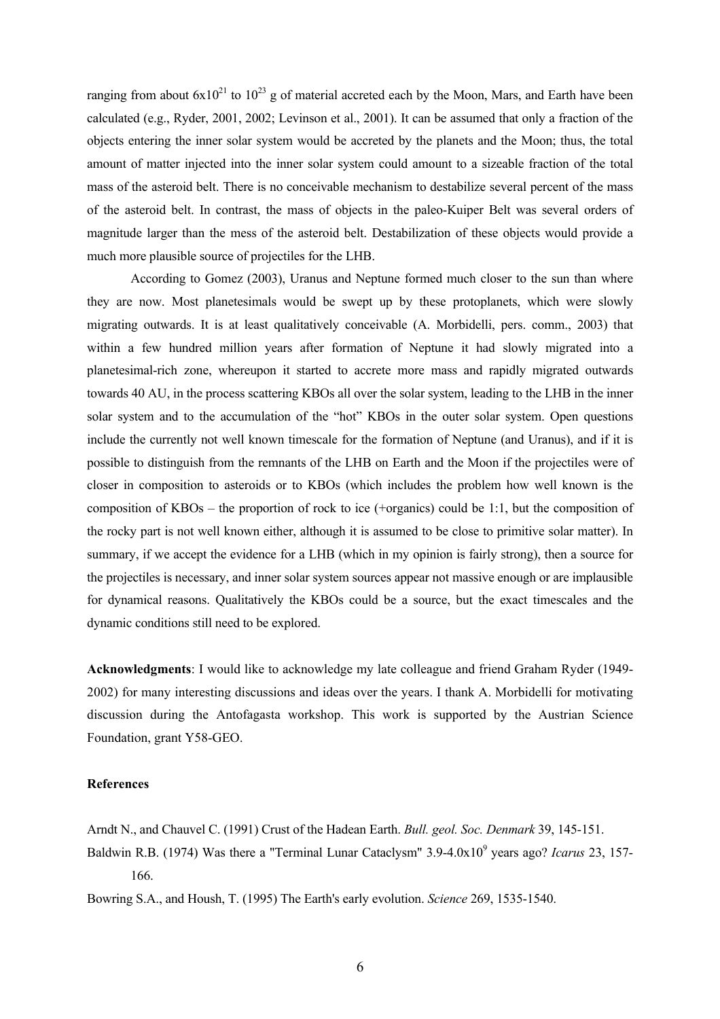ranging from about  $6x10^{21}$  to  $10^{23}$  g of material accreted each by the Moon, Mars, and Earth have been calculated (e.g., Ryder, 2001, 2002; Levinson et al., 2001). It can be assumed that only a fraction of the objects entering the inner solar system would be accreted by the planets and the Moon; thus, the total amount of matter injected into the inner solar system could amount to a sizeable fraction of the total mass of the asteroid belt. There is no conceivable mechanism to destabilize several percent of the mass of the asteroid belt. In contrast, the mass of objects in the paleo-Kuiper Belt was several orders of magnitude larger than the mess of the asteroid belt. Destabilization of these objects would provide a much more plausible source of projectiles for the LHB.

According to Gomez (2003), Uranus and Neptune formed much closer to the sun than where they are now. Most planetesimals would be swept up by these protoplanets, which were slowly migrating outwards. It is at least qualitatively conceivable (A. Morbidelli, pers. comm., 2003) that within a few hundred million years after formation of Neptune it had slowly migrated into a planetesimal-rich zone, whereupon it started to accrete more mass and rapidly migrated outwards towards 40 AU, in the process scattering KBOs all over the solar system, leading to the LHB in the inner solar system and to the accumulation of the "hot" KBOs in the outer solar system. Open questions include the currently not well known timescale for the formation of Neptune (and Uranus), and if it is possible to distinguish from the remnants of the LHB on Earth and the Moon if the projectiles were of closer in composition to asteroids or to KBOs (which includes the problem how well known is the composition of KBOs – the proportion of rock to ice (+organics) could be 1:1, but the composition of the rocky part is not well known either, although it is assumed to be close to primitive solar matter). In summary, if we accept the evidence for a LHB (which in my opinion is fairly strong), then a source for the projectiles is necessary, and inner solar system sources appear not massive enough or are implausible for dynamical reasons. Qualitatively the KBOs could be a source, but the exact timescales and the dynamic conditions still need to be explored.

**Acknowledgments**: I would like to acknowledge my late colleague and friend Graham Ryder (1949- 2002) for many interesting discussions and ideas over the years. I thank A. Morbidelli for motivating discussion during the Antofagasta workshop. This work is supported by the Austrian Science Foundation, grant Y58-GEO.

#### **References**

Arndt N., and Chauvel C. (1991) Crust of the Hadean Earth. *Bull. geol. Soc. Denmark* 39, 145-151.

Baldwin R.B. (1974) Was there a "Terminal Lunar Cataclysm" 3.9-4.0x10<sup>9</sup> years ago? *Icarus* 23, 157-166.

Bowring S.A., and Housh, T. (1995) The Earth's early evolution. *Science* 269, 1535-1540.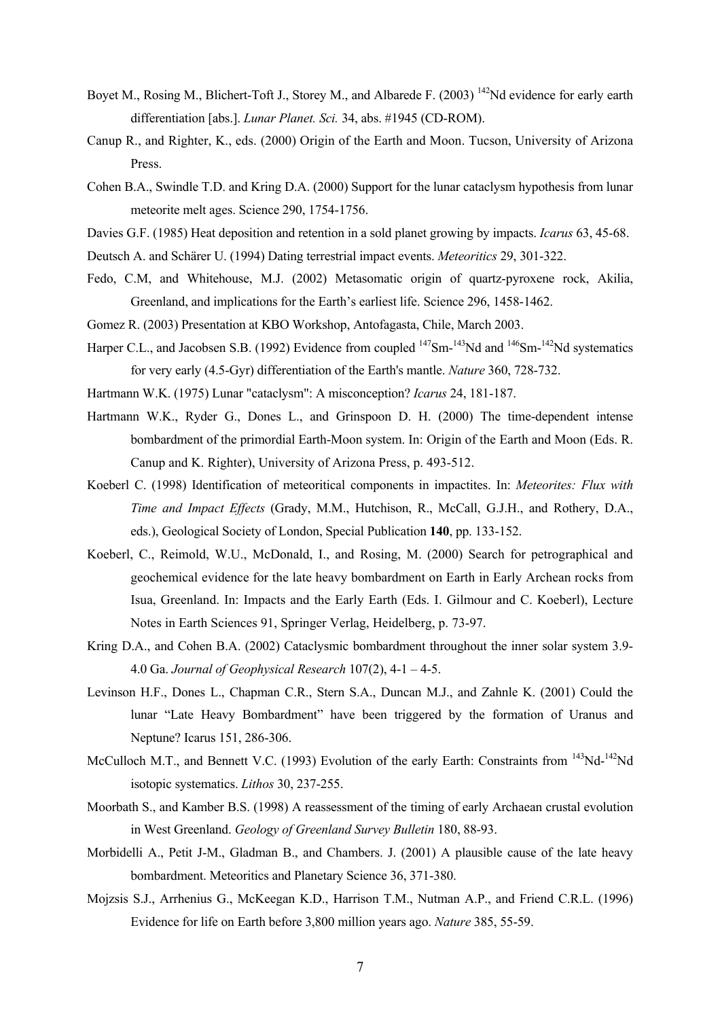- Boyet M., Rosing M., Blichert-Toft J., Storey M., and Albarede F. (2003) <sup>142</sup>Nd evidence for early earth differentiation [abs.]. *Lunar Planet. Sci.* 34, abs. #1945 (CD-ROM).
- Canup R., and Righter, K., eds. (2000) Origin of the Earth and Moon. Tucson, University of Arizona Press.
- Cohen B.A., Swindle T.D. and Kring D.A. (2000) Support for the lunar cataclysm hypothesis from lunar meteorite melt ages. Science 290, 1754-1756.
- Davies G.F. (1985) Heat deposition and retention in a sold planet growing by impacts. *Icarus* 63, 45-68.
- Deutsch A. and Schärer U. (1994) Dating terrestrial impact events. *Meteoritics* 29, 301-322.
- Fedo, C.M, and Whitehouse, M.J. (2002) Metasomatic origin of quartz-pyroxene rock, Akilia, Greenland, and implications for the Earth's earliest life. Science 296, 1458-1462.
- Gomez R. (2003) Presentation at KBO Workshop, Antofagasta, Chile, March 2003.
- Harper C.L., and Jacobsen S.B. (1992) Evidence from coupled <sup>147</sup>Sm-<sup>143</sup>Nd and <sup>146</sup>Sm-<sup>142</sup>Nd systematics for very early (4.5-Gyr) differentiation of the Earth's mantle. *Nature* 360, 728-732.
- Hartmann W.K. (1975) Lunar "cataclysm": A misconception? *Icarus* 24, 181-187.
- Hartmann W.K., Ryder G., Dones L., and Grinspoon D. H. (2000) The time-dependent intense bombardment of the primordial Earth-Moon system. In: Origin of the Earth and Moon (Eds. R. Canup and K. Righter), University of Arizona Press, p. 493-512.
- Koeberl C. (1998) Identification of meteoritical components in impactites. In: *Meteorites: Flux with Time and Impact Effects* (Grady, M.M., Hutchison, R., McCall, G.J.H., and Rothery, D.A., eds.), Geological Society of London, Special Publication **140**, pp. 133-152.
- Koeberl, C., Reimold, W.U., McDonald, I., and Rosing, M. (2000) Search for petrographical and geochemical evidence for the late heavy bombardment on Earth in Early Archean rocks from Isua, Greenland. In: Impacts and the Early Earth (Eds. I. Gilmour and C. Koeberl), Lecture Notes in Earth Sciences 91, Springer Verlag, Heidelberg, p. 73-97.
- Kring D.A., and Cohen B.A. (2002) Cataclysmic bombardment throughout the inner solar system 3.9- 4.0 Ga. *Journal of Geophysical Research* 107(2), 4-1 – 4-5.
- Levinson H.F., Dones L., Chapman C.R., Stern S.A., Duncan M.J., and Zahnle K. (2001) Could the lunar "Late Heavy Bombardment" have been triggered by the formation of Uranus and Neptune? Icarus 151, 286-306.
- McCulloch M.T., and Bennett V.C. (1993) Evolution of the early Earth: Constraints from <sup>143</sup>Nd-<sup>142</sup>Nd isotopic systematics. *Lithos* 30, 237-255.
- Moorbath S., and Kamber B.S. (1998) A reassessment of the timing of early Archaean crustal evolution in West Greenland. *Geology of Greenland Survey Bulletin* 180, 88-93.
- Morbidelli A., Petit J-M., Gladman B., and Chambers. J. (2001) A plausible cause of the late heavy bombardment. Meteoritics and Planetary Science 36, 371-380.
- Mojzsis S.J., Arrhenius G., McKeegan K.D., Harrison T.M., Nutman A.P., and Friend C.R.L. (1996) Evidence for life on Earth before 3,800 million years ago. *Nature* 385, 55-59.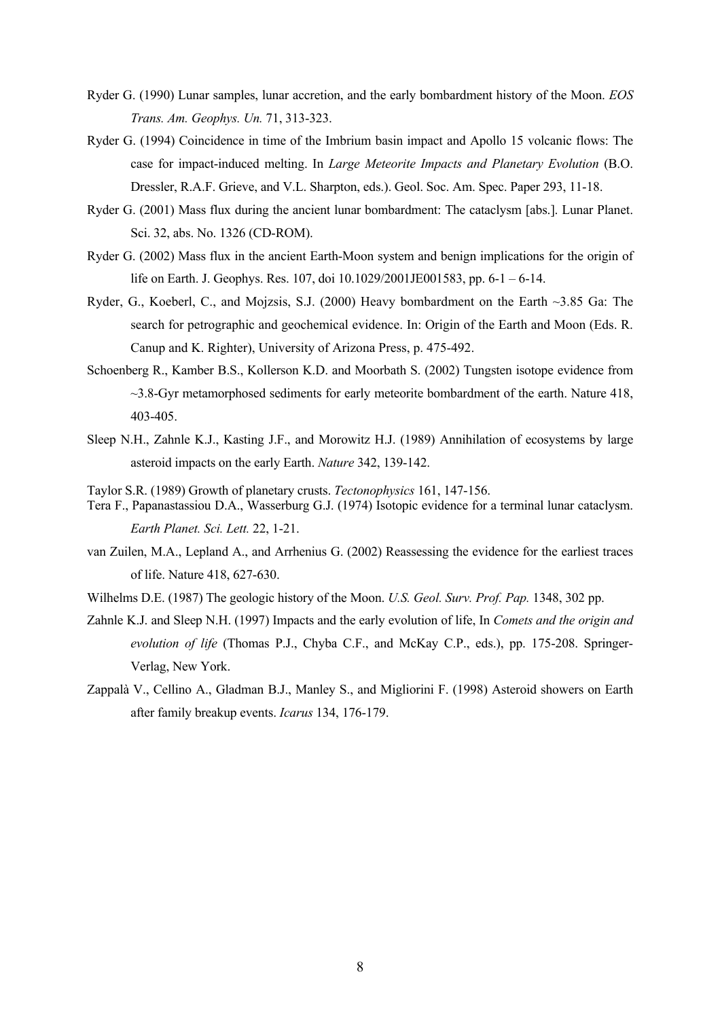- Ryder G. (1990) Lunar samples, lunar accretion, and the early bombardment history of the Moon. *EOS Trans. Am. Geophys. Un.* 71, 313-323.
- Ryder G. (1994) Coincidence in time of the Imbrium basin impact and Apollo 15 volcanic flows: The case for impact-induced melting. In *Large Meteorite Impacts and Planetary Evolution* (B.O. Dressler, R.A.F. Grieve, and V.L. Sharpton, eds.). Geol. Soc. Am. Spec. Paper 293, 11-18.
- Ryder G. (2001) Mass flux during the ancient lunar bombardment: The cataclysm [abs.]. Lunar Planet. Sci. 32, abs. No. 1326 (CD-ROM).
- Ryder G. (2002) Mass flux in the ancient Earth-Moon system and benign implications for the origin of life on Earth. J. Geophys. Res. 107, doi 10.1029/2001JE001583, pp. 6-1 – 6-14.
- Ryder, G., Koeberl, C., and Mojzsis, S.J. (2000) Heavy bombardment on the Earth  $\sim$ 3.85 Ga: The search for petrographic and geochemical evidence. In: Origin of the Earth and Moon (Eds. R. Canup and K. Righter), University of Arizona Press, p. 475-492.
- Schoenberg R., Kamber B.S., Kollerson K.D. and Moorbath S. (2002) Tungsten isotope evidence from  $\sim$ 3.8-Gyr metamorphosed sediments for early meteorite bombardment of the earth. Nature 418, 403-405.
- Sleep N.H., Zahnle K.J., Kasting J.F., and Morowitz H.J. (1989) Annihilation of ecosystems by large asteroid impacts on the early Earth. *Nature* 342, 139-142.

Taylor S.R. (1989) Growth of planetary crusts. *Tectonophysics* 161, 147-156.

- Tera F., Papanastassiou D.A., Wasserburg G.J. (1974) Isotopic evidence for a terminal lunar cataclysm. *Earth Planet. Sci. Lett.* 22, 1-21.
- van Zuilen, M.A., Lepland A., and Arrhenius G. (2002) Reassessing the evidence for the earliest traces of life. Nature 418, 627-630.
- Wilhelms D.E. (1987) The geologic history of the Moon. *U.S. Geol. Surv. Prof. Pap.* 1348, 302 pp.
- Zahnle K.J. and Sleep N.H. (1997) Impacts and the early evolution of life, In *Comets and the origin and evolution of life* (Thomas P.J., Chyba C.F., and McKay C.P., eds.), pp. 175-208. Springer-Verlag, New York.
- Zappalà V., Cellino A., Gladman B.J., Manley S., and Migliorini F. (1998) Asteroid showers on Earth after family breakup events. *Icarus* 134, 176-179.